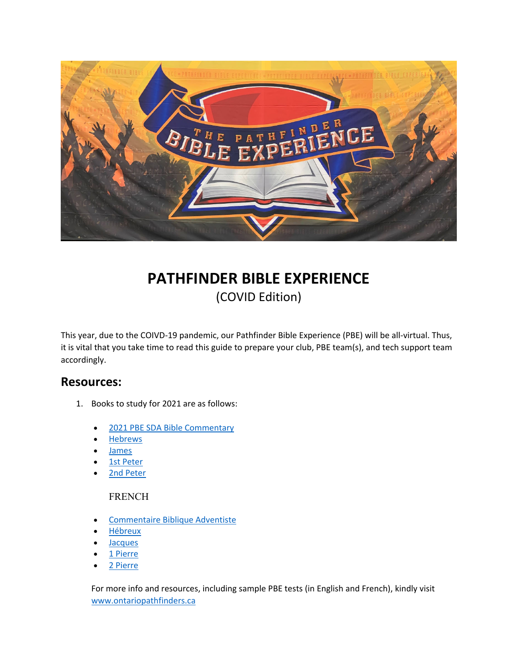

# **PATHFINDER BIBLE EXPERIENCE** (COVID Edition)

This year, due to the COIVD‐19 pandemic, our Pathfinder Bible Experience (PBE) will be all‐virtual. Thus, it is vital that you take time to read this guide to prepare your club, PBE team(s), and tech support team accordingly.

### **Resources:**

- 1. Books to study for 2021 are as follows:
	- 2021 PBE SDA Bible Commentary
	- Hebrews
	- James
	- 1st Peter
	- 2nd Peter

#### FRENCH

- Commentaire Biblique Adventiste
- Hébreux
- **Jacques**
- 1 Pierre
- 2 Pierre

For more info and resources, including sample PBE tests (in English and French), kindly visit www.ontariopathfinders.ca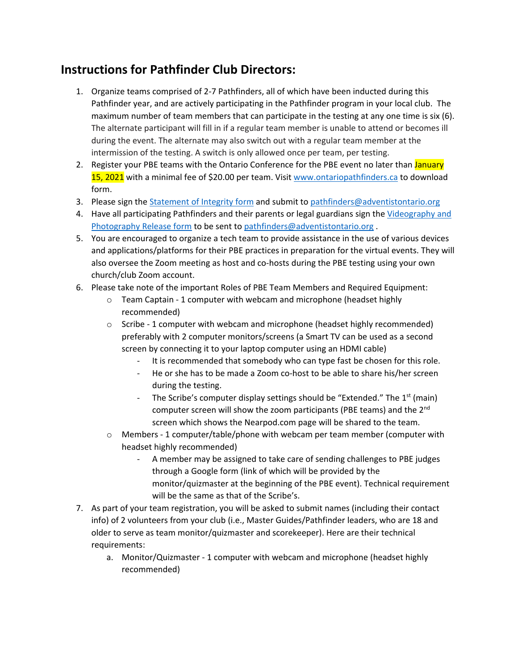## **Instructions for Pathfinder Club Directors:**

- 1. Organize teams comprised of 2-7 Pathfinders, all of which have been inducted during this Pathfinder year, and are actively participating in the Pathfinder program in your local club. The maximum number of team members that can participate in the testing at any one time is six (6). The alternate participant will fill in if a regular team member is unable to attend or becomes ill during the event. The alternate may also switch out with a regular team member at the intermission of the testing. A switch is only allowed once per team, per testing.
- 2. Register your PBE teams with the Ontario Conference for the PBE event no later than January 15, 2021 with a minimal fee of \$20.00 per team. Visit www.ontariopathfinders.ca to download form.
- 3. Please sign the Statement of Integrity form and submit to pathfinders@adventistontario.org
- 4. Have all participating Pathfinders and their parents or legal guardians sign the Videography and Photography Release form to be sent to pathfinders@adventistontario.org .
- 5. You are encouraged to organize a tech team to provide assistance in the use of various devices and applications/platforms for their PBE practices in preparation for the virtual events. They will also oversee the Zoom meeting as host and co-hosts during the PBE testing using your own church/club Zoom account.
- 6. Please take note of the important Roles of PBE Team Members and Required Equipment:
	- $\circ$  Team Captain 1 computer with webcam and microphone (headset highly recommended)
	- o Scribe ‐ 1 computer with webcam and microphone (headset highly recommended) preferably with 2 computer monitors/screens (a Smart TV can be used as a second screen by connecting it to your laptop computer using an HDMI cable)
		- It is recommended that somebody who can type fast be chosen for this role.
		- He or she has to be made a Zoom co-host to be able to share his/her screen during the testing.
		- The Scribe's computer display settings should be "Extended." The 1<sup>st</sup> (main) computer screen will show the zoom participants (PBE teams) and the 2<sup>nd</sup> screen which shows the Nearpod.com page will be shared to the team.
	- o Members ‐ 1 computer/table/phone with webcam per team member (computer with headset highly recommended)
		- ‐ A member may be assigned to take care of sending challenges to PBE judges through a Google form (link of which will be provided by the monitor/quizmaster at the beginning of the PBE event). Technical requirement will be the same as that of the Scribe's.
- 7. As part of your team registration, you will be asked to submit names (including their contact info) of 2 volunteers from your club (i.e., Master Guides/Pathfinder leaders, who are 18 and older to serve as team monitor/quizmaster and scorekeeper). Here are their technical requirements:
	- a. Monitor/Quizmaster ‐ 1 computer with webcam and microphone (headset highly recommended)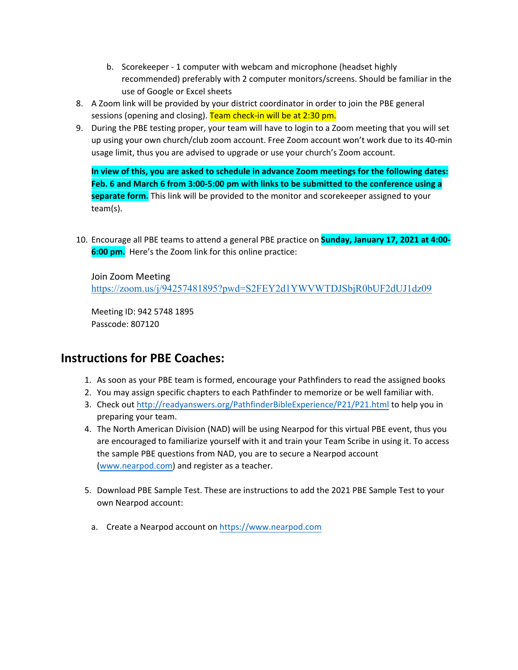- b. Scorekeeper ‐ 1 computer with webcam and microphone (headset highly recommended) preferably with 2 computer monitors/screens. Should be familiar in the use of Google or Excel sheets
- 8. A Zoom link will be provided by your district coordinator in order to join the PBE general sessions (opening and closing). Team check-in will be at 2:30 pm.
- 9. During the PBE testing proper, your team will have to login to a Zoom meeting that you will set up using your own church/club zoom account. Free Zoom account won't work due to its 40‐min usage limit, thus you are advised to upgrade or use your church's Zoom account.

**In view of this, you are asked to schedule in advance Zoom meetings for the following dates:** Feb. 6 and March 6 from 3:00-5:00 pm with links to be submitted to the conference using a **separate form.** This link will be provided to the monitor and scorekeeper assigned to your team(s).

10. Encourage all PBE teams to attend a general PBE practice on **Sunday, January 17, 2021 at 4:00‐ 6:00 pm.** Here's the Zoom link for this online practice:

Join Zoom Meeting https://zoom.us/j/94257481895?pwd=S2FEY2d1YWVWTDJSbjR0bUF2dUJ1dz09

Meeting ID: 942 5748 1895 Passcode: 807120

## **Instructions for PBE Coaches:**

- 1. As soon as your PBE team is formed, encourage your Pathfinders to read the assigned books
- 2. You may assign specific chapters to each Pathfinder to memorize or be well familiar with.
- 3. Check out http://readyanswers.org/PathfinderBibleExperience/P21/P21.html to help you in preparing your team.
- 4. The North American Division (NAD) will be using Nearpod for this virtual PBE event, thus you are encouraged to familiarize yourself with it and train your Team Scribe in using it. To access the sample PBE questions from NAD, you are to secure a Nearpod account (www.nearpod.com) and register as a teacher.
- 5. Download PBE Sample Test. These are instructions to add the 2021 PBE Sample Test to your own Nearpod account:
	- a. Create a Nearpod account on https://www.nearpod.com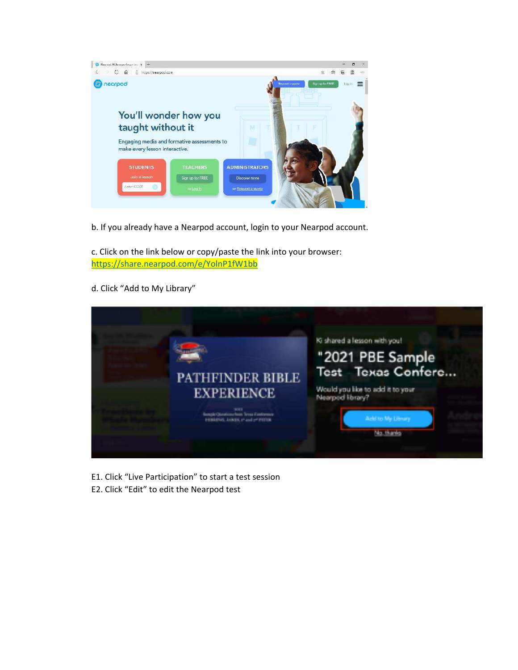

b. If you already have a Nearpod account, login to your Nearpod account.

c. Click on the link below or copy/paste the link into your browser: https://share.nearpod.com/e/YolnP1fW1bb

d. Click "Add to My Library"



- E1. Click "Live Participation" to start a test session
- E2. Click "Edit" to edit the Nearpod test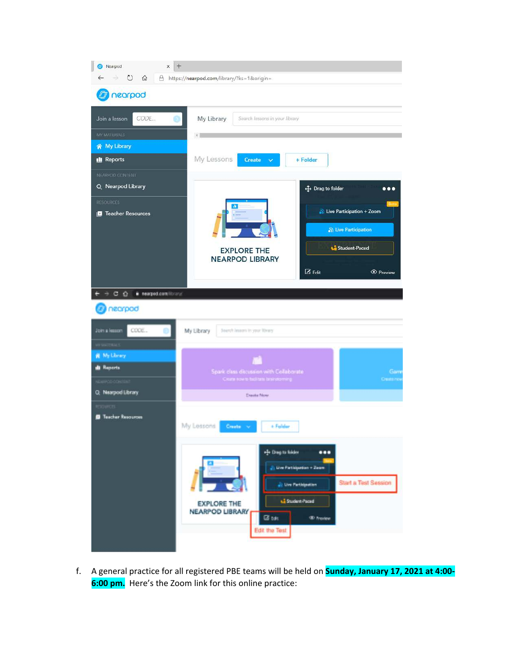

f. A general practice for all registered PBE teams will be held on **Sunday, January 17, 2021 at 4:00‐ 6:00 pm.** Here's the Zoom link for this online practice: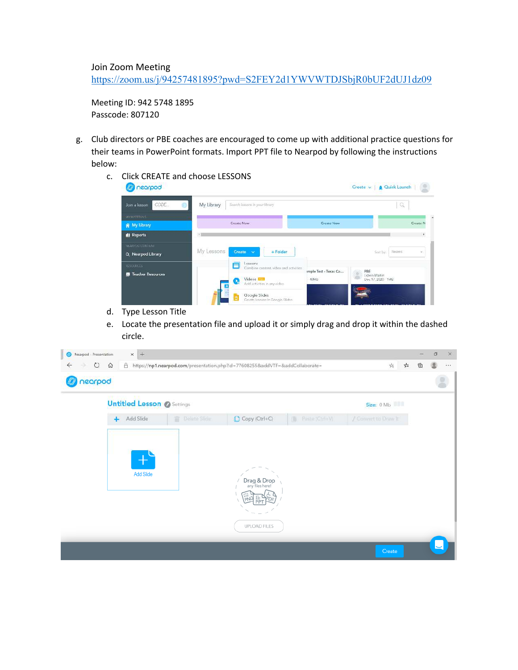Join Zoom Meeting https://zoom.us/j/94257481895?pwd=S2FEY2d1YWVWTDJSbjR0bUF2dUJ1dz09

Meeting ID: 942 5748 1895 Passcode: 807120

- g. Club directors or PBE coaches are encouraged to come up with additional practice questions for their teams in PowerPoint formats. Import PPT file to Nearpod by following the instructions below:
	- c. Click CREATE and choose LESSONS

| hearpod                    |                                                                                    |                       | Create v   @ Quick Launch  <br>川温                 |
|----------------------------|------------------------------------------------------------------------------------|-----------------------|---------------------------------------------------|
| CODE.<br>Join a lesson     | My Library<br>Search lassons in your library                                       |                       | Q                                                 |
| MY MATTEN II.              | Create Now                                                                         | <b>Create Now</b>     | Create N                                          |
| W My Library               |                                                                                    |                       |                                                   |
| <b>di</b> Reports          |                                                                                    |                       |                                                   |
| <b>NEARCOD CONTENT</b>     |                                                                                    |                       |                                                   |
| Q Nearpod Library          | My Lessons<br>Create v<br>$-Folder$                                                |                       | Recent<br>Sort by:<br>$\mathcal{L}_{\mathcal{C}}$ |
| <b>NESCURICES</b>          | Lessaires<br>Ξ<br>Combine content, video and activities                            |                       |                                                   |
| <b>D</b> Teacher Resources |                                                                                    | ample Test - Texas Co | PBE<br><b>Edwin Martin</b>                        |
|                            | Videos <b>EXIT</b><br>$\mathbf{P}_\mathrm{e}$<br>Add activities in any video<br>Гш | 40MB                  | Dec 17, 2020 - 1MB                                |
|                            | Google Slides<br>Create Jossons in Google Slides                                   |                       |                                                   |

- d. Type Lesson Title
- e. Locate the presentation file and upload it or simply drag and drop it within the dashed circle.

| Nearpod - Presentation        | $x +$                             |                     |                                                                                  |                         |                                  |   | $\Box$ | $\times$      |
|-------------------------------|-----------------------------------|---------------------|----------------------------------------------------------------------------------|-------------------------|----------------------------------|---|--------|---------------|
| $\circ$<br>$\leftarrow$<br>Ð. | $\Omega$                          |                     | A https://np1.nearpod.com/presentation.php?id=776082558xaddVTF=8xaddCollaborate= |                         | 幸<br>$\frac{1}{k} \mathcal{E}_k$ | ថ | 힟      | $\lambda + 1$ |
| nearpod<br>$I\!\!\!\!I$       |                                   |                     |                                                                                  |                         |                                  |   |        | Ξ             |
|                               | <b>Untitled Lesson @ Settings</b> |                     |                                                                                  |                         | Size: 0 Mb                       |   |        |               |
|                               | Add Slide<br>$+$                  | <b>Delate Slide</b> | Copy (Ctrl+C)                                                                    | <b>B</b> Paste (Ctrl+V) | / Convert to Draw It             |   |        |               |
|                               | Add Slide                         |                     | Drag & Drop<br>any files here!<br>UPLOAD FILES                                   |                         | Create                           |   |        |               |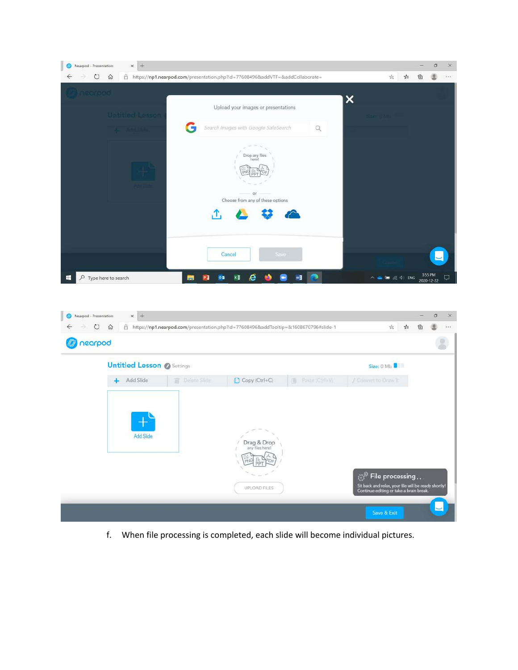

| Nearpod - Presentation<br>⊚<br>$\circ$<br>← | $x +$<br>⋒<br>A                   |                     | https://np1.nearpod.com/presentation.php?id=77608496&addTooltip=&1608670796#slide-1 |                     | 幸<br>$\frac{1}{k} \mathcal{E}_k$                                                                                                                 | $\times$<br>白<br>曲<br>$1 + 1$ |
|---------------------------------------------|-----------------------------------|---------------------|-------------------------------------------------------------------------------------|---------------------|--------------------------------------------------------------------------------------------------------------------------------------------------|-------------------------------|
| nearpod                                     |                                   |                     |                                                                                     |                     |                                                                                                                                                  |                               |
|                                             | <b>Untitled Lesson @ Settings</b> |                     |                                                                                     |                     | Size: 0 Mb                                                                                                                                       |                               |
|                                             | Add Slide<br>÷                    | <b>Deline Slide</b> | Copy (Ctrl+C)                                                                       | Paste (Ctrl+V)<br>画 | / Colwert to Draw It                                                                                                                             |                               |
|                                             | Add Slide                         |                     | Drag & Drop<br>any files here!<br><b>UPLOAD FILES</b>                               |                     | ි <sup>ම</sup> File processing<br>Sit back and relax, your file will be ready shortly!<br>Continue editing or take a brain break.<br>Save & Exit |                               |

f. When file processing is completed, each slide will become individual pictures.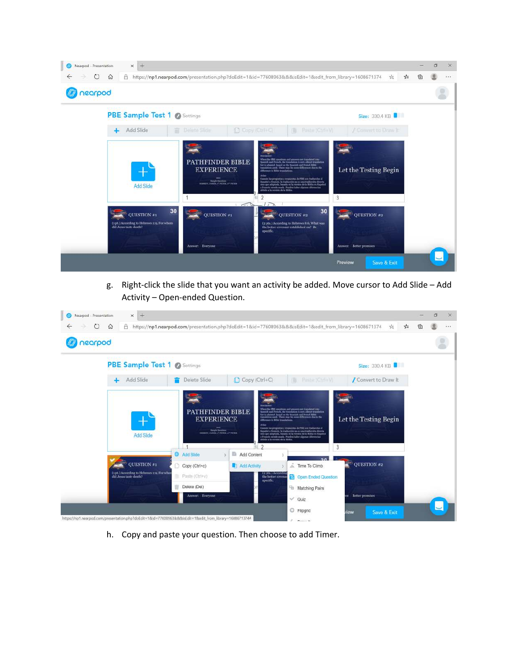

g. Right‐click the slide that you want an activity be added. Move cursor to Add Slide – Add Activity – Open‐ended Question.

| Nearpod - Presentation<br>$\circ$<br>$\leftarrow$ | $x +$<br>$\Omega$<br>A                                                                                 |                                                                                                                      |                                                                                                 | https://np1.nearpod.com/presentation.php?doEdit=18id=776089638.8.8.isEdit=18cedit_from_library=1608671374                                                                                                                                                                                                                                                                                                                                                                                                                                              | $\frac{1}{k} \sum_{i=1}^{k}$<br>≴                   | 重 | 貞 | $\times$<br>1.0.4 |
|---------------------------------------------------|--------------------------------------------------------------------------------------------------------|----------------------------------------------------------------------------------------------------------------------|-------------------------------------------------------------------------------------------------|--------------------------------------------------------------------------------------------------------------------------------------------------------------------------------------------------------------------------------------------------------------------------------------------------------------------------------------------------------------------------------------------------------------------------------------------------------------------------------------------------------------------------------------------------------|-----------------------------------------------------|---|---|-------------------|
| nearpod                                           |                                                                                                        |                                                                                                                      |                                                                                                 |                                                                                                                                                                                                                                                                                                                                                                                                                                                                                                                                                        |                                                     |   |   |                   |
|                                                   | <b>PBE Sample Test 1 @ Settings</b>                                                                    |                                                                                                                      |                                                                                                 |                                                                                                                                                                                                                                                                                                                                                                                                                                                                                                                                                        | Size: 330.4 KB                                      |   |   |                   |
|                                                   | Add Slide<br>÷                                                                                         | Delete Slide                                                                                                         | Copy (Ctrl+C)                                                                                   | Paste (Ctrl+V)<br>illi .                                                                                                                                                                                                                                                                                                                                                                                                                                                                                                                               | Convert to Draw It                                  |   |   |                   |
|                                                   | <b>Add Slide</b>                                                                                       | PATHFINDER BIBLE<br><b>EXPERIENCE</b><br><b>Britt</b><br><b>Bangle Question</b><br>HEMISPH ANNUAL OF PATER, APPEARER | Iribido a la versión de la Itibila.<br>$\mathcal{P}$<br>fill:                                   | Then the PHI, spiertimes and attenues are translated into<br>ab and French, the trundation is not a direct translation<br>but is adapted, board on the framids and Fernsh Bible<br>translation med. There may be some differences due to the<br>difference in Ethic translations.<br>Contofe las preguntas y empaentas de 1980 son traducidas al<br>Equabal o Prancés, in traductión no ex una traducción directa:<br>sino que adoptada, basada en la versión de la filhãa en Español<br>a Prasada siendo coada. Pueden haber algunas diferencias<br>3 | Let the Testing Begin                               |   |   |                   |
|                                                   | <b>OUESTION #1</b><br>(1 pt.) According to Hebrews 2:9, For whom<br>did Jesus taste death?             | Add Slide<br>Copy (Ctrl+c)<br>Paste (Ctrl+v)<br>Delete (Del)<br>Answer: Everyone                                     | Add Content<br>Add Activity<br><sup>12</sup> jila J Accordan<br>the better covenas<br>specific. | Time To Climb<br><b>24</b> Open Ended Question<br>Matching Pairs<br>$\vee$ Quiz                                                                                                                                                                                                                                                                                                                                                                                                                                                                        | $\sqrt{\phantom{a}}$ QUESTION #2<br>Better promises |   |   |                   |
|                                                   | https://np1.nearpod.com/presentation.php?doEdit=18id=77608963&&&isEdit=1&edit_from_library=1608671374# |                                                                                                                      |                                                                                                 | C Flipgrid<br>$\mathcal{L} = \mathcal{L}$                                                                                                                                                                                                                                                                                                                                                                                                                                                                                                              | Save & Exit<br><i>riew</i>                          |   |   |                   |

h. Copy and paste your question. Then choose to add Timer.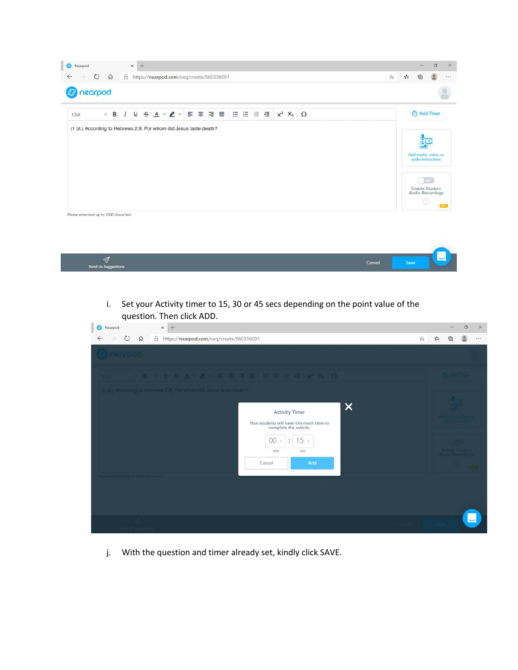

| Send Us Suggestions | Cancel | Save | v. |
|---------------------|--------|------|----|

i. Set your Activity timer to 15, 30 or 45 secs depending on the point value of the question. Then click ADD.

| Nearpod                                      | $+$<br>$\times$                                                                                              | O                       | $\times$ |
|----------------------------------------------|--------------------------------------------------------------------------------------------------------------|-------------------------|----------|
| $\circlearrowright$<br>$\leftarrow$          | $\Omega$<br>A<br>https://nearpod.com/oeq/create/960336091                                                    | $\frac{1}{k}$<br>幸<br>俯 | $1 + 1$  |
| <b>Incarpod</b>                              |                                                                                                              |                         |          |
| <b>Tips</b>                                  | (B J U S A ( Z ) 三百百百日 田田田田 W X ( Q                                                                          |                         |          |
|                                              | (Figs.) According to Hebrews 2:9. For whom did Jesus taste diath?<br><b>Activity Timer</b>                   | $\times$                |          |
|                                              | Your students will have this much time to<br>complete the activity.<br>00<br>$15 -$<br>÷.<br>v<br>min<br>sec |                         |          |
| without higher control of CCO with the first | Add<br>Cancel                                                                                                |                         |          |
|                                              |                                                                                                              |                         |          |
|                                              |                                                                                                              |                         |          |
|                                              |                                                                                                              |                         |          |

j. With the question and timer already set, kindly click SAVE.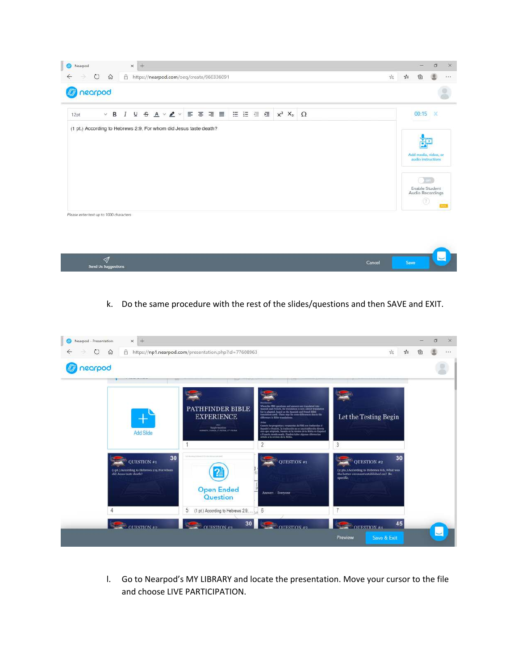

| z<br><b>CONTRACT AND AND DESCRIPTION OF REAL PROPERTY</b> | Cancel | iave |  |
|-----------------------------------------------------------|--------|------|--|

k. Do the same procedure with the rest of the slides/questions and then SAVE and EXIT.



l. Go to Nearpod's MY LIBRARY and locate the presentation. Move your cursor to the file and choose LIVE PARTICIPATION.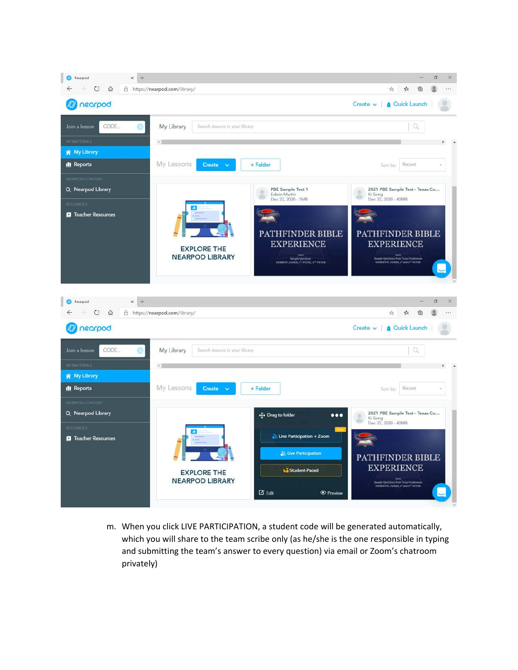

m. When you click LIVE PARTICIPATION, a student code will be generated automatically, which you will share to the team scribe only (as he/she is the one responsible in typing and submitting the team's answer to every question) via email or Zoom's chatroom privately)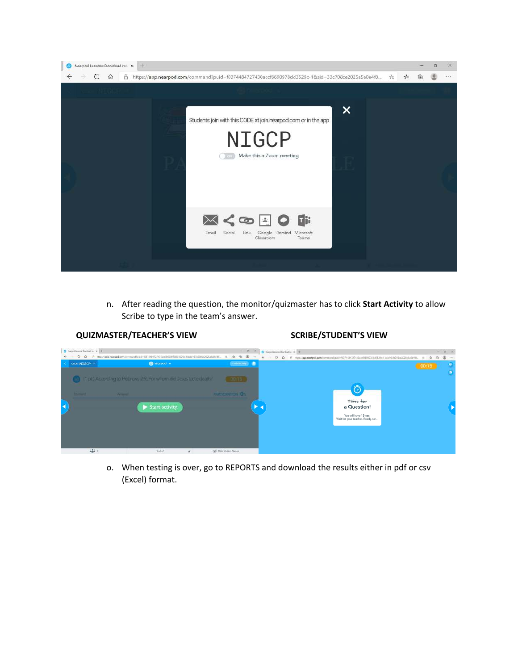

n. After reading the question, the monitor/quizmaster has to click **Start Activity** to allow Scribe to type in the team's answer.

#### **QUIZMASTER/TEACHER'S VIEW SCRIBE/STUDENT'S VIEW**



o. When testing is over, go to REPORTS and download the results either in pdf or csv (Excel) format.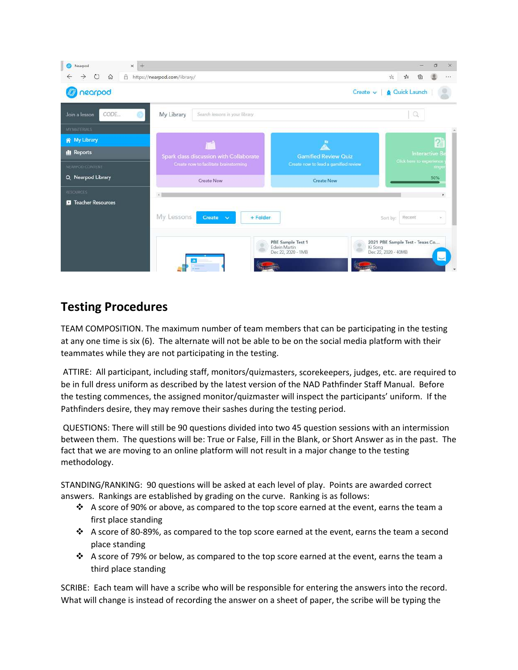

## **Testing Procedures**

TEAM COMPOSITION. The maximum number of team members that can be participating in the testing at any one time is six (6). The alternate will not be able to be on the social media platform with their teammates while they are not participating in the testing.

ATTIRE: All participant, including staff, monitors/quizmasters, scorekeepers, judges, etc. are required to be in full dress uniform as described by the latest version of the NAD Pathfinder Staff Manual. Before the testing commences, the assigned monitor/quizmaster will inspect the participants' uniform. If the Pathfinders desire, they may remove their sashes during the testing period.

QUESTIONS: There will still be 90 questions divided into two 45 question sessions with an intermission between them. The questions will be: True or False, Fill in the Blank, or Short Answer as in the past. The fact that we are moving to an online platform will not result in a major change to the testing methodology.

STANDING/RANKING: 90 questions will be asked at each level of play. Points are awarded correct answers. Rankings are established by grading on the curve. Ranking is as follows:

- $\clubsuit$  A score of 90% or above, as compared to the top score earned at the event, earns the team a first place standing
- $\div$  A score of 80-89%, as compared to the top score earned at the event, earns the team a second place standing
- $\clubsuit$  A score of 79% or below, as compared to the top score earned at the event, earns the team a third place standing

SCRIBE: Each team will have a scribe who will be responsible for entering the answers into the record. What will change is instead of recording the answer on a sheet of paper, the scribe will be typing the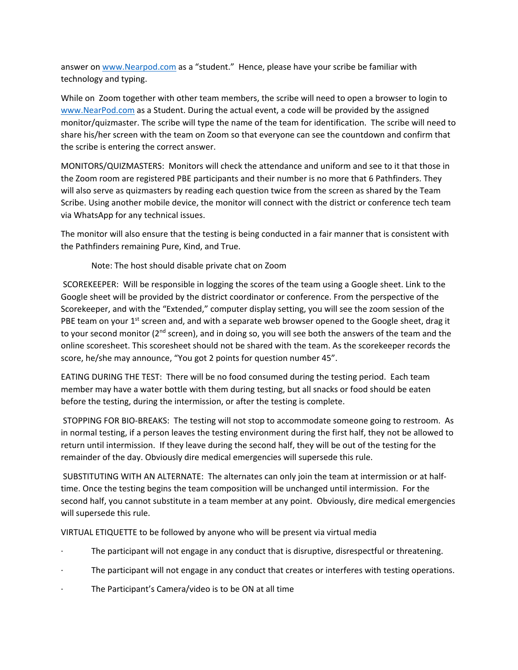answer on www.Nearpod.com as a "student." Hence, please have your scribe be familiar with technology and typing.

While on Zoom together with other team members, the scribe will need to open a browser to login to www.NearPod.com as a Student. During the actual event, a code will be provided by the assigned monitor/quizmaster. The scribe will type the name of the team for identification. The scribe will need to share his/her screen with the team on Zoom so that everyone can see the countdown and confirm that the scribe is entering the correct answer.

MONITORS/QUIZMASTERS: Monitors will check the attendance and uniform and see to it that those in the Zoom room are registered PBE participants and their number is no more that 6 Pathfinders. They will also serve as quizmasters by reading each question twice from the screen as shared by the Team Scribe. Using another mobile device, the monitor will connect with the district or conference tech team via WhatsApp for any technical issues.

The monitor will also ensure that the testing is being conducted in a fair manner that is consistent with the Pathfinders remaining Pure, Kind, and True.

Note: The host should disable private chat on Zoom

SCOREKEEPER: Will be responsible in logging the scores of the team using a Google sheet. Link to the Google sheet will be provided by the district coordinator or conference. From the perspective of the Scorekeeper, and with the "Extended," computer display setting, you will see the zoom session of the PBE team on your 1<sup>st</sup> screen and, and with a separate web browser opened to the Google sheet, drag it to your second monitor ( $2^{nd}$  screen), and in doing so, you will see both the answers of the team and the online scoresheet. This scoresheet should not be shared with the team. As the scorekeeper records the score, he/she may announce, "You got 2 points for question number 45".

EATING DURING THE TEST: There will be no food consumed during the testing period. Each team member may have a water bottle with them during testing, but all snacks or food should be eaten before the testing, during the intermission, or after the testing is complete.

STOPPING FOR BIO‐BREAKS: The testing will not stop to accommodate someone going to restroom. As in normal testing, if a person leaves the testing environment during the first half, they not be allowed to return until intermission. If they leave during the second half, they will be out of the testing for the remainder of the day. Obviously dire medical emergencies will supersede this rule.

SUBSTITUTING WITH AN ALTERNATE: The alternates can only join the team at intermission or at half‐ time. Once the testing begins the team composition will be unchanged until intermission. For the second half, you cannot substitute in a team member at any point. Obviously, dire medical emergencies will supersede this rule.

VIRTUAL ETIQUETTE to be followed by anyone who will be present via virtual media

- ∙ The participant will not engage in any conduct that is disruptive, disrespectful or threatening.
- ∙ The participant will not engage in any conduct that creates or interferes with testing operations.
- ∙ The Participant's Camera/video is to be ON at all time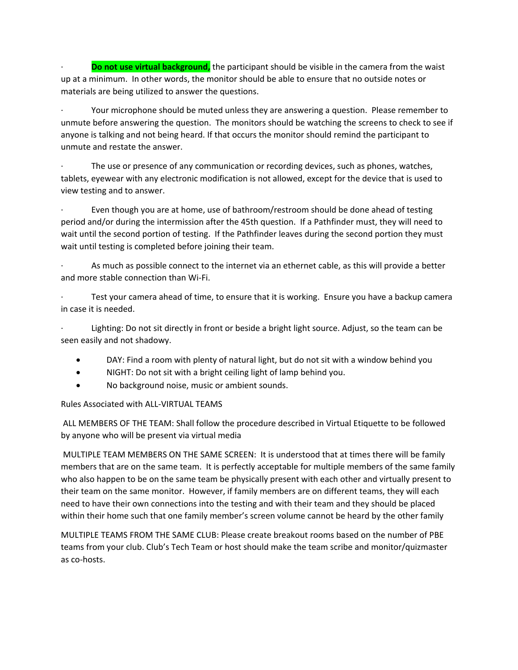∙ **Do not use virtual background,** the participant should be visible in the camera from the waist up at a minimum. In other words, the monitor should be able to ensure that no outside notes or materials are being utilized to answer the questions.

∙ Your microphone should be muted unless they are answering a question. Please remember to unmute before answering the question. The monitors should be watching the screens to check to see if anyone is talking and not being heard. If that occurs the monitor should remind the participant to unmute and restate the answer.

The use or presence of any communication or recording devices, such as phones, watches, tablets, eyewear with any electronic modification is not allowed, except for the device that is used to view testing and to answer.

∙ Even though you are at home, use of bathroom/restroom should be done ahead of testing period and/or during the intermission after the 45th question. If a Pathfinder must, they will need to wait until the second portion of testing. If the Pathfinder leaves during the second portion they must wait until testing is completed before joining their team.

∙ As much as possible connect to the internet via an ethernet cable, as this will provide a better and more stable connection than Wi‐Fi.

∙ Test your camera ahead of time, to ensure that it is working. Ensure you have a backup camera in case it is needed.

∙ Lighting: Do not sit directly in front or beside a bright light source. Adjust, so the team can be seen easily and not shadowy.

- DAY: Find a room with plenty of natural light, but do not sit with a window behind you
- NIGHT: Do not sit with a bright ceiling light of lamp behind you.
- No background noise, music or ambient sounds.

Rules Associated with ALL‐VIRTUAL TEAMS

ALL MEMBERS OF THE TEAM: Shall follow the procedure described in Virtual Etiquette to be followed by anyone who will be present via virtual media

MULTIPLE TEAM MEMBERS ON THE SAME SCREEN: It is understood that at times there will be family members that are on the same team. It is perfectly acceptable for multiple members of the same family who also happen to be on the same team be physically present with each other and virtually present to their team on the same monitor. However, if family members are on different teams, they will each need to have their own connections into the testing and with their team and they should be placed within their home such that one family member's screen volume cannot be heard by the other family

MULTIPLE TEAMS FROM THE SAME CLUB: Please create breakout rooms based on the number of PBE teams from your club. Club's Tech Team or host should make the team scribe and monitor/quizmaster as co‐hosts.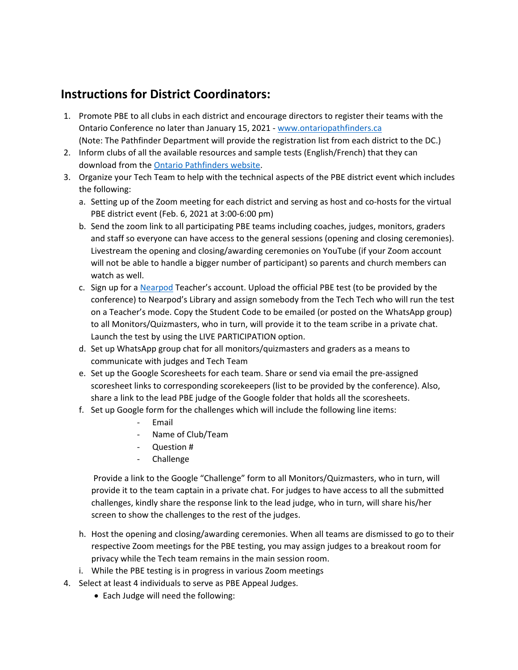## **Instructions for District Coordinators:**

- 1. Promote PBE to all clubs in each district and encourage directors to register their teams with the Ontario Conference no later than January 15, 2021 ‐ www.ontariopathfinders.ca (Note: The Pathfinder Department will provide the registration list from each district to the DC.)
- 2. Inform clubs of all the available resources and sample tests (English/French) that they can download from the Ontario Pathfinders website.
- 3. Organize your Tech Team to help with the technical aspects of the PBE district event which includes the following:
	- a. Setting up of the Zoom meeting for each district and serving as host and co-hosts for the virtual PBE district event (Feb. 6, 2021 at 3:00‐6:00 pm)
	- b. Send the zoom link to all participating PBE teams including coaches, judges, monitors, graders and staff so everyone can have access to the general sessions (opening and closing ceremonies). Livestream the opening and closing/awarding ceremonies on YouTube (if your Zoom account will not be able to handle a bigger number of participant) so parents and church members can watch as well.
	- c. Sign up for a Nearpod Teacher's account. Upload the official PBE test (to be provided by the conference) to Nearpod's Library and assign somebody from the Tech Tech who will run the test on a Teacher's mode. Copy the Student Code to be emailed (or posted on the WhatsApp group) to all Monitors/Quizmasters, who in turn, will provide it to the team scribe in a private chat. Launch the test by using the LIVE PARTICIPATION option.
	- d. Set up WhatsApp group chat for all monitors/quizmasters and graders as a means to communicate with judges and Tech Team
	- e. Set up the Google Scoresheets for each team. Share or send via email the pre‐assigned scoresheet links to corresponding scorekeepers (list to be provided by the conference). Also, share a link to the lead PBE judge of the Google folder that holds all the scoresheets.
	- f. Set up Google form for the challenges which will include the following line items:
		- ‐ Email
		- ‐ Name of Club/Team
		- ‐ Question #
		- ‐ Challenge

Provide a link to the Google "Challenge" form to all Monitors/Quizmasters, who in turn, will provide it to the team captain in a private chat. For judges to have access to all the submitted challenges, kindly share the response link to the lead judge, who in turn, will share his/her screen to show the challenges to the rest of the judges.

- h. Host the opening and closing/awarding ceremonies. When all teams are dismissed to go to their respective Zoom meetings for the PBE testing, you may assign judges to a breakout room for privacy while the Tech team remains in the main session room.
- i. While the PBE testing is in progress in various Zoom meetings
- 4. Select at least 4 individuals to serve as PBE Appeal Judges.
	- Each Judge will need the following: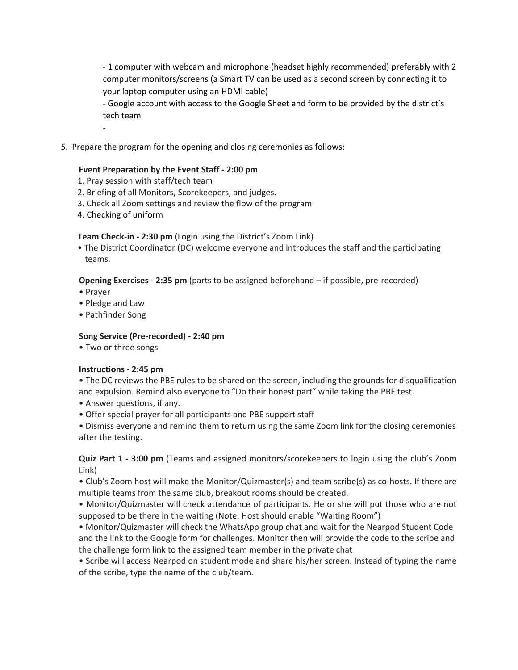‐ 1 computer with webcam and microphone (headset highly recommended) preferably with 2 computer monitors/screens (a Smart TV can be used as a second screen by connecting it to your laptop computer using an HDMI cable)

‐ Google account with access to the Google Sheet and form to be provided by the district's tech team

5. Prepare the program for the opening and closing ceremonies as follows:

#### **Event Preparation by the Event Staff ‐ 2:00 pm**

- 1. Pray session with staff/tech team
- 2. Briefing of all Monitors, Scorekeepers, and judges.
- 3. Check all Zoom settings and review the flow of the program
- 4. Checking of uniform

‐

 **Team Check‐in ‐ 2:30 pm** (Login using the District's Zoom Link)

• The District Coordinator (DC) welcome everyone and introduces the staff and the participating teams.

**Opening Exercises** - 2:35 pm (parts to be assigned beforehand – if possible, pre-recorded)

- Prayer
- Pledge and Law
- Pathfinder Song

#### **Song Service (Pre‐recorded) ‐ 2:40 pm**

• Two or three songs

#### **Instructions ‐ 2:45 pm**

• The DC reviews the PBE rules to be shared on the screen, including the grounds for disqualification and expulsion. Remind also everyone to "Do their honest part" while taking the PBE test.

- Answer questions, if any.
- Offer special prayer for all participants and PBE support staff

• Dismiss everyone and remind them to return using the same Zoom link for the closing ceremonies after the testing.

**Quiz Part 1 ‐ 3:00 pm** (Teams and assigned monitors/scorekeepers to login using the club's Zoom Link)

• Club's Zoom host will make the Monitor/Quizmaster(s) and team scribe(s) as co-hosts. If there are multiple teams from the same club, breakout rooms should be created.

• Monitor/Quizmaster will check attendance of participants. He or she will put those who are not supposed to be there in the waiting (Note: Host should enable "Waiting Room")

ï Monitor/Quizmaster will check the WhatsApp group chat and wait for the Nearpod Student Code and the link to the Google form for challenges. Monitor then will provide the code to the scribe and the challenge form link to the assigned team member in the private chat

• Scribe will access Nearpod on student mode and share his/her screen. Instead of typing the name of the scribe, type the name of the club/team.